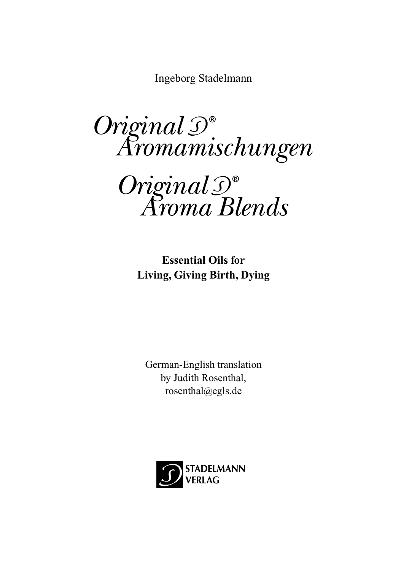Ingeborg Stadelmann

*Original Aromamischungen*

*Original Aroma Blends*

**Essential Oils for Living, Giving Birth, Dying**

German-English translation by Judith Rosenthal, rosenthal@egls.de

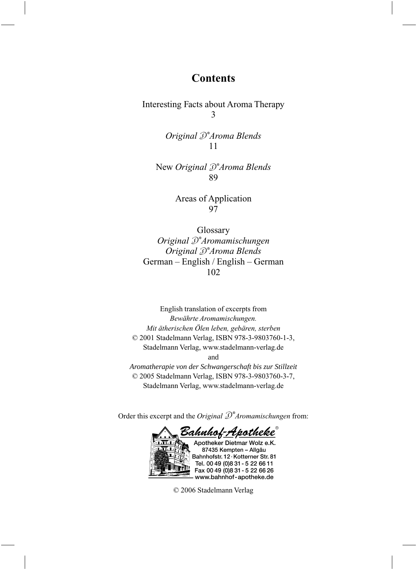### **Contents**

Interesting Facts about Aroma Therapy 3

> *Original Aroma Blends* 11

New *Original Aroma Blends* 89

> Areas of Application 97

Glossary *Original Aromamischungen Original Aroma Blends* German – English / English – German 102

English translation of excerpts from *Bewährte Aromamischungen. Mit ätherischen Ölen leben, gebären, sterben* © 2001 Stadelmann Verlag, ISBN 978-3-9803760-1-3, Stadelmann Verlag, www.stadelmann-verlag.de and *Aromatherapie von der Schwangerschaft bis zur Stillzeit* © 2005 Stadelmann Verlag, ISBN 978-3-9803760-3-7, Stadelmann Verlag, www.stadelmann-verlag.de

Order this excerpt and the *Original*  $\mathcal{D}^*$ *Aromamischungen* from:

<u> Bahnhof-Apotheke </u> Apotheker Dietmar Wolz e.K. 87435 Kempten - Allgäu

Bahnhofstr. 12 · Kotterner Str. 81 Tel. 00 49 (0) 8 31 - 5 22 66 11 Fax 00 49 (0) 8 31 - 5 22 66 26 www.bahnhof-apotheke.de

© 2006 Stadelmann Verlag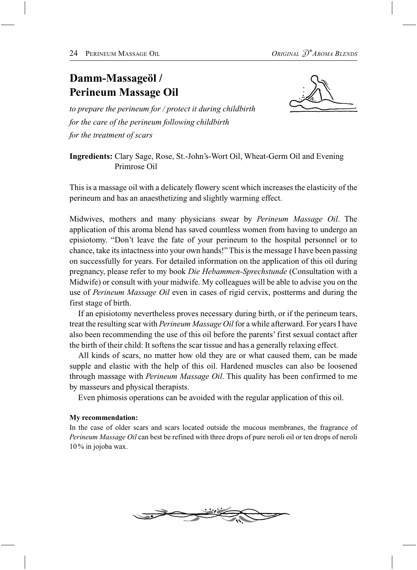# **Damm-Massageöl / Perineum Massage Oil**



*to prepare the perineum for / protect it during childbirth for the care of the perineum following childbirth for the treatment of scars*

**Ingredients:** Clary Sage, Rose, St.-John's-Wort Oil, Wheat-Germ Oil and Evening Primrose Oil

This is a massage oil with a delicately flowery scent which increases the elasticity of the perineum and has an anaesthetizing and slightly warming effect.

Midwives, mothers and many physicians swear by *Perineum Massage Oil*. The application of this aroma blend has saved countless women from having to undergo an episiotomy. "Don't leave the fate of your perineum to the hospital personnel or to chance, take its intactness into your own hands!" This is the message I have been passing on successfully for years. For detailed information on the application of this oil during pregnancy, please refer to my book *Die Hebammen-Sprechstunde* (Consultation with a Midwife) or consult with your midwife. My colleagues will be able to advise you on the use of *Perineum Massage Oil* even in cases of rigid cervix, postterms and during the first stage of birth.

If an episiotomy nevertheless proves necessary during birth, or if the perineum tears, treat the resulting scar with *Perineum Massage Oil* for a while afterward. For years I have also been recommending the use of this oil before the parents' first sexual contact after the birth of their child: It softens the scar tissue and has a generally relaxing effect.

All kinds of scars, no matter how old they are or what caused them, can be made supple and elastic with the help of this oil. Hardened muscles can also be loosened through massage with *Perineum Massage Oil*. This quality has been confirmed to me by masseurs and physical therapists.

Even phimosis operations can be avoided with the regular application of this oil.

### **My recommendation:**

In the case of older scars and scars located outside the mucous membranes, the fragrance of *Perineum Massage Oil* can best be refined with three drops of pure neroli oil or ten drops of neroli 10 % in jojoba wax.